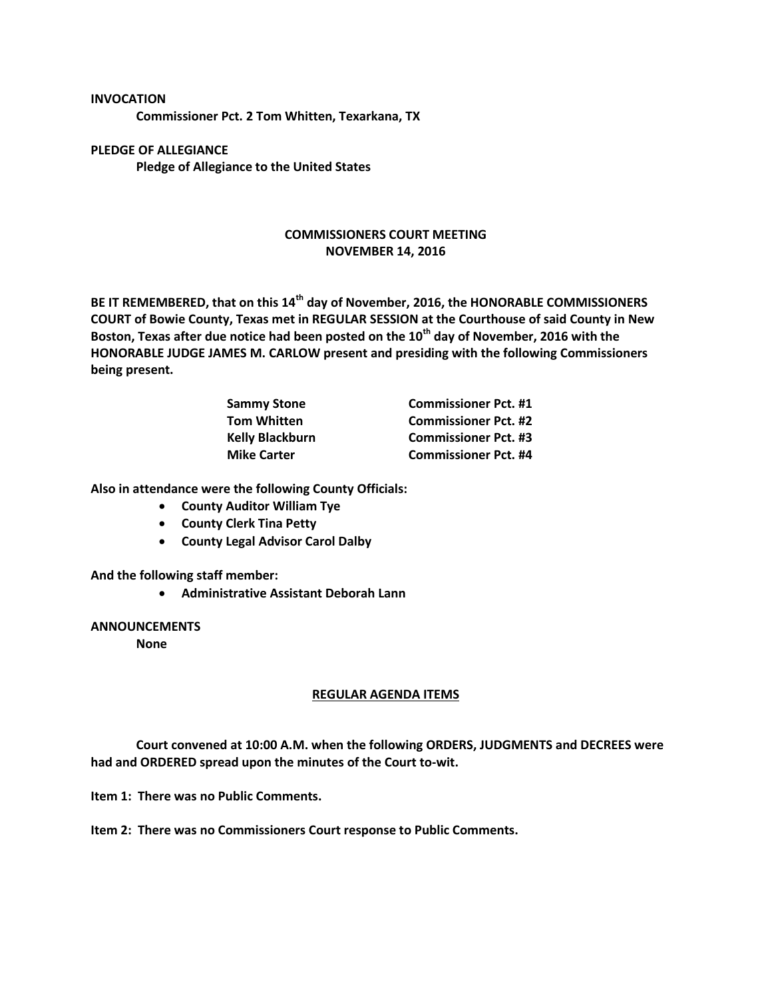**Commissioner Pct. 2 Tom Whitten, Texarkana, TX**

**PLEDGE OF ALLEGIANCE Pledge of Allegiance to the United States**

**INVOCATION**

## **COMMISSIONERS COURT MEETING NOVEMBER 14, 2016**

**BE IT REMEMBERED, that on this 14th day of November, 2016, the HONORABLE COMMISSIONERS COURT of Bowie County, Texas met in REGULAR SESSION at the Courthouse of said County in New Boston, Texas after due notice had been posted on the 10th day of November, 2016 with the HONORABLE JUDGE JAMES M. CARLOW present and presiding with the following Commissioners being present.**

| <b>Sammy Stone</b>     | <b>Commissioner Pct. #1</b> |
|------------------------|-----------------------------|
| <b>Tom Whitten</b>     | <b>Commissioner Pct. #2</b> |
| <b>Kelly Blackburn</b> | <b>Commissioner Pct. #3</b> |
| <b>Mike Carter</b>     | <b>Commissioner Pct. #4</b> |

**Also in attendance were the following County Officials:**

- **County Auditor William Tye**
- **County Clerk Tina Petty**
- **County Legal Advisor Carol Dalby**

**And the following staff member:**

**Administrative Assistant Deborah Lann**

**ANNOUNCEMENTS**

**None**

## **REGULAR AGENDA ITEMS**

**Court convened at 10:00 A.M. when the following ORDERS, JUDGMENTS and DECREES were had and ORDERED spread upon the minutes of the Court to-wit.**

**Item 1: There was no Public Comments.**

**Item 2: There was no Commissioners Court response to Public Comments.**